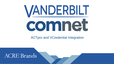# VANDERBILT comnet

ACTpro and VCredential Integration

ww.vanderbiltindustries.com www.comnet.net

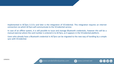#### Implemented in ACTpro 3.2.0.x and later is the integration of VCredential. This integration requires an internet connection via which ACTpro will communicate to the VCredential service.

In case of an offline system, it is still possible to issue and manage Bluetooth credentials, however this will be a manual exercise where the card number is entered in to ACTpro, as it appears in the VCredential platform.

Users who already have a Bluetooth credential in ACTpro can be migrated to the new way of handling by a simple sync with VCredential.



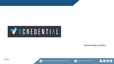

**Synchronising to ACTpro**







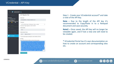#### $\equiv$  **VCREDENTIAL Choose Site ACT Migration Test Selected Site** Site Email **ACT Migration Test** actmigratetest\_chris@vcredential.com **Total Site Credentials: 0**  $\bullet$ ,  $\bullet$ ,  $\bullet$ , Timezone (UTC+00:00) Dublin, Edinburgh, Lisbon, London Current time: Friday, September 10, 2021 12:38 PM **O** Requests Administrator Chris Administrator Email @acre-int.com chris Site settings □ Use reverse byte encoding for card numbers (Omnis) Manage Licences API Key The API Token will only be visible now and can not be recovered. eyJhbGciOiJIUzl1NilsInR5cCl6lkpXVCJ9.eyJ1bmbxdWVlbmFL SI6IkFDVCBNaWdyYXRpb24gVGVzdCisllNpdGVJZGVudGlma WVyljoiNjk4YmNIMDQtYWQzMi00NDlhLTg4NmltZGQ4ZDA5M mQ2YWNmliwiVG9rZW5JZGVudGlmaWVyljorYjMwNmFlMmlt MTUxNi00ZDgyLTgwODMtOTA1NmNkODQzZjgyliwibmJmljox NjMxMjczOTlwLCJleHAiOjIxMDQ2NTk1MjAsImlhdCl6MTYzMT 3MzkyMCwiaXNzIjolVmFuZGVyYmlsdClslmF1ZCl6lkJUQ0NB UEkifQ uLY55qblZav0-iKk8idL7g\_rvjxNP- zb22QwPYJ2vc Generate new key

#### Step 1 - Create your VCredential account**\*** and take a note of the API Key.

**Note –** Due to the length of the API key it's recommended to Copy/Paste in to a Notepad document and save securely.

**Note2 –** Once saved, the API key will no longer be viewable again, and if lost a new one will need to be created.

**\*** VCredential Portal has it's own documentation on how to create an account and corresponding sites etc.

22/09/2021



w

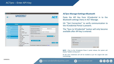| 2 ACTpro Manage<br>ю                                                                                                | <b>VANDERBILT</b>                                                                                                                                                                                                                                                                                                                                                                  |                                                                                                                                                                                                                                                                                                                 |                                             | <b>ACT</b> <sub>p</sub>                          |             |
|---------------------------------------------------------------------------------------------------------------------|------------------------------------------------------------------------------------------------------------------------------------------------------------------------------------------------------------------------------------------------------------------------------------------------------------------------------------------------------------------------------------|-----------------------------------------------------------------------------------------------------------------------------------------------------------------------------------------------------------------------------------------------------------------------------------------------------------------|---------------------------------------------|--------------------------------------------------|-------------|
| <b>Settings</b>                                                                                                     |                                                                                                                                                                                                                                                                                                                                                                                    |                                                                                                                                                                                                                                                                                                                 |                                             |                                                  |             |
| Home<br>Live System<br>Manage<br>Cards<br><b>Tools</b><br><b>Reports</b><br><b>K</b> Settings<br><b>ACT</b> Clients | General<br><b>Doors</b><br>Lockdown<br><b>Usage Limits</b><br><b>SMTP</b><br><b>Muster Report</b><br><b>Doors Monitor Report</b><br>Events<br>Schedule Log Event Purge<br><b>User Fields</b><br><b>Holiday Names</b><br><b>Area Limits</b><br><b>Card Print</b><br>Installer<br><b>T&amp;A</b> Integration<br>DB Users Password Policy<br><b>Mobile Access</b><br><b>Bluetooth</b> | Activate Bluetooth Enrolment<br><b>Administrator Email Address</b><br>QR Code Time to Live (hours)<br><b>Organisation Name</b><br><b>Block Non-Invited User Tokens</b><br>API Key <b>concessessessessesses</b><br><b>Sync to VCredential</b><br>More information on integration with VCredential portal: Manual | chris.<br>24<br>Chris Test VI - Old Routine | @outlook.com<br><b>Test Connection</b><br>Cancel | <b>Save</b> |

#### **ACTpro Manage>Settings>Bluetooth**

Paste the API Key from VCredential in to the Bluetooth settings menu in ACT Manage.

Hit "Test Connection" to verify communication to the VCredential Portal is present.

The "Sync to VCredential" button will only become available after API key is entered.

| Activate Bluetooth Enrolment |                |
|------------------------------|----------------|
| Auto Update                  |                |
| <b>API Key</b>               |                |
| <b>Update coming soon</b>    |                |
| <b>Test Connection</b>       |                |
|                              | Cancel<br>Save |

**NOTE -** Prior to the VCredential Phase 2 portal release, the system will display "Update coming soon".

At this time credentials will still be handled as per the original QR code methodology.



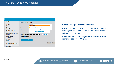

#### **ACTpro Manage>Settings>Bluetooth**

If you choose to Sync to VCredential then a warning will be shown – This is a one-time process and is not reversible.

**When credentials are migrated they cannot then be moved back in to ACTpro.**



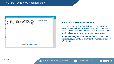|             |    | Users to be Synchronised with VCredential |                                            |            |                      |                            |
|-------------|----|-------------------------------------------|--------------------------------------------|------------|----------------------|----------------------------|
|             | No | <b>Name</b>                               | <b>Email</b>                               |            | <b>Card Number</b>   | <b>Failure Reason</b>      |
| <b>ctiv</b> | 2  | <b>Chris Evans</b>                        | chris.                                     | @gmail.com | 2802186              | Card slot 3 is unavailable |
|             | 8  | Liam T                                    | liamtwyman@vanderbiltindustries.com 456987 |            |                      |                            |
| nin         | 11 | The Joker                                 | christevans@vanderbiltindustries.com       |            | 1934099              |                            |
|             | 3  |                                           | Wonder Woman wonder@woman.com              |            | 2802177              |                            |
| C(          | 4  | <b>Ruby Rose</b>                          | ruby.rose@vanderbiltindustries.com         |            | 999654               |                            |
|             |    |                                           |                                            |            |                      |                            |
| jan         |    |                                           |                                            |            |                      |                            |
| ck          |    |                                           |                                            |            |                      |                            |
|             |    |                                           |                                            |            |                      |                            |
|             |    |                                           |                                            |            |                      |                            |
| PI          |    |                                           |                                            |            |                      |                            |
| Cro         |    |                                           |                                            |            |                      |                            |
|             |    |                                           |                                            |            |                      |                            |
|             |    |                                           |                                            |            |                      |                            |
| S           |    |                                           |                                            |            |                      |                            |
|             |    |                                           |                                            |            |                      |                            |
|             |    |                                           |                                            |            |                      |                            |
|             |    |                                           |                                            |            |                      |                            |
|             |    |                                           |                                            |            |                      |                            |
|             |    |                                           |                                            |            |                      |                            |
|             |    |                                           | <b>Proceed</b>                             | Cancel     | <b>Export to csv</b> |                            |
|             |    |                                           |                                            |            |                      |                            |

#### **ACTpro Manage>Settings>Bluetooth**

An error check will be carried out in the software, to ensure there will be no issues migrating. If there is an issue, it will be shown under the "Failure Reason" and it must be fixed before the sync process can proceed.

**In this example, the card number under "Card 3" must be removed, as Card 3 is used for the number issued by VCredential.**





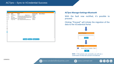### ACTpro – Sync to VCredential Success

| No<br><b>Name</b> |                    | Email                              |                                            | <b>Card Number</b> | <b>Failure Reason</b> |
|-------------------|--------------------|------------------------------------|--------------------------------------------|--------------------|-----------------------|
|                   | <b>Chris Evans</b> | chris.                             | @gmail.com                                 | 2802186            |                       |
| Liam T            |                    |                                    | liamtwyman@vanderbiltindustries.com 456987 |                    |                       |
| The Joker         |                    |                                    | christevans@vanderbiltindustries.com       | 1934099            |                       |
|                   |                    | Wonder Woman wonder@woman.com      |                                            | 2802177            |                       |
| <b>Ruby Rose</b>  |                    | ruby.rose@vanderbiltindustries.com |                                            | 999654             |                       |
|                   |                    |                                    |                                            |                    |                       |
|                   |                    |                                    |                                            |                    |                       |
|                   |                    |                                    |                                            |                    |                       |
|                   |                    |                                    |                                            |                    |                       |
|                   |                    |                                    |                                            |                    |                       |
|                   |                    |                                    |                                            |                    |                       |
|                   |                    |                                    |                                            |                    |                       |
|                   |                    |                                    |                                            |                    |                       |
|                   |                    |                                    |                                            |                    |                       |
|                   |                    |                                    |                                            |                    |                       |
|                   |                    |                                    |                                            |                    |                       |
|                   |                    |                                    |                                            |                    |                       |
|                   |                    |                                    |                                            |                    |                       |
|                   |                    |                                    |                                            |                    |                       |
|                   |                    |                                    |                                            |                    |                       |

#### **ACTpro Manage>Settings>Bluetooth**

With the fault now rectified, it's possible to proceed.

Clicking "Proceed" will initiate the migration of the data to the VCredential Portal.



**NOTE -** If the process was successful, you will see a confirmation of what was synced to VCredential.





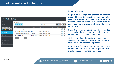# VCredential – Invitations

| VCREDENTIAL<br>Ξ.             |                     |                                      |                    |                             |                         |                |
|-------------------------------|---------------------|--------------------------------------|--------------------|-----------------------------|-------------------------|----------------|
| Choose Site                   | Invitations         |                                      |                    |                             |                         |                |
| ted Site:<br>T Migration Test | Send new invitation |                                      |                    | Search for                  | Q Search                | <b>X</b> Clear |
| Site Credentials: 65,535      | eMail               |                                      | User name          | Invitation sent L=          | <b>Received request</b> |                |
| 65,531                        | chris.              | @gmail.com                           | <b>Chris Evans</b> | Tuesday, September 21, 2021 |                         | Ù              |
|                               |                     | liamtwyman@vanderbiltindustries.com  | Liam T             | Tuesday, September 21, 2021 |                         | Ù<br>Œ         |
| <b>Invitations</b>            |                     | christevans@vanderbiltindustries.com | The Joker          | Tuesday, September 21, 2021 |                         | 砯<br>O         |
| Requests                      | wonder@woman.com    |                                      | Wonder Woman       | Tuesday, September 21, 2021 |                         | 勯              |
|                               | __                  | ____                                 |                    |                             |                         |                |

#### **VCredential.com**

**As part of the migration process, all existing users will need to activate a new credential, ideally this should be planned in advance – It's recommended to schedule a specific time to carry out the migration and warn the users accordingly.**

Once the sync is complete, the imported credentials should now be visible in the VCredential portal, under "Invitations".

At the same time, the portal will now e-mail all users with an invite to create a new credential, following the new activation process.

**NOTE –** No further action is required in the VCredential portal, and the ACTpro software should be used to manage credentials.

Site settings

Manage Licences



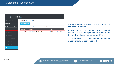#### VCREDENTIAL  $\equiv$



Existing Bluetooth licenses in ACTpro are valid as part of this migration.

In addition to synchronising the Bluetooth credential users, the sync will also import the Bluetooth credential license from ACTpro.

The license will be decremented by the number of users that have been imported.



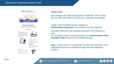

#### **Invite E-mail**

Even though users may already have a credential "live" on their devices, they will need to re-authorise, using the new method.

#### Firstly, in the VI Mobile ID app, navigate to **Authorization>Deactivate** to de-activate the old credential.

Secondly, follow the new method contained in the welcome email.

An "Activation Code" must be entered in the **Authorization> Enter Activation Code** section of the VI Mobile ID app.

**Note –** If users do not "re-authorise" via the new procedure, their credentials cannot be managed through the new integrated solution.







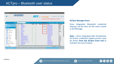# ACTpro – Bluetooth user status

| 은 ACTpro Manage<br><b>VANDERBILT</b> |              |        |                 |                             |                                 |         | <b>ACT</b> pro manage |                   |                  | <b>Administrator</b><br>Help<br>Warning: None of the 8 enabled doors are connected | <b>Sign Out</b>                  |                                                          |
|--------------------------------------|--------------|--------|-----------------|-----------------------------|---------------------------------|---------|-----------------------|-------------------|------------------|------------------------------------------------------------------------------------|----------------------------------|----------------------------------------------------------|
|                                      | <b>Users</b> |        | Search Names    |                             | Advanced <b>%</b><br>ا فر       |         |                       |                   |                  | <b>Print</b>                                                                       | <b>Add User</b><br><b>Export</b> | <b>Add Visitor</b>                                       |
| Home<br>п                            |              |        | <b>No</b>       | <b>Name</b>                 |                                 | Enabled | Valid                 | <b>Biometrics</b> | <b>Bluetooth</b> | <b>Group</b>                                                                       |                                  | <b>Card Number</b>                                       |
|                                      |              |        | $\mathbf{1}$    | <b>Grim Reaper</b>          |                                 |         | $\checkmark$          |                   |                  | <b>Full Access Group</b>                                                           |                                  | 2802185                                                  |
| <b>Live System</b>                   |              | ⊏      | $\overline{2}$  | <b>Chris Evans</b>          |                                 |         | ✓                     |                   | Active           | <b>Full Access Group</b>                                                           |                                  | 2802186                                                  |
|                                      |              |        | 3               | <b>Wonder Woman</b>         |                                 |         | ✓                     |                   | Invite sent      | <b>Full Access Group</b>                                                           |                                  | 2802177                                                  |
| <b>B</b><br>Manage                   |              |        | $\overline{4}$  | <b>Ruby Rose</b>            |                                 |         |                       |                   |                  | <b>Full Access Group</b>                                                           |                                  | 999654                                                   |
| Users                                |              |        | 5<br>8          | S Marmy                     |                                 |         | $\checkmark$          |                   |                  | <b>Full Access Group</b>                                                           |                                  | 2802178<br>456987                                        |
|                                      |              |        | 9               | Liam T<br><b>Doris Day</b>  |                                 |         | ✓                     |                   | Invite sent      | <b>Full Access Group</b><br><b>Restricted Access</b>                               | $\mathbf{0}$                     |                                                          |
| <b>User Groups</b>                   |              | Ē<br>г | 10              | <b>Joanne Smith</b>         |                                 |         | ✓                     |                   |                  | <b>Full Access Group</b>                                                           |                                  | 1934094                                                  |
|                                      |              | ⊏      | 11              | <b>The Joker</b>            |                                 |         |                       |                   | Invite sent      | <b>Full Access Group</b>                                                           |                                  | 1934099                                                  |
| Door Groups                          |              | Г      | 12              | tenant 1                    |                                 |         | ✓                     |                   |                  | <b>Full Access Group</b>                                                           | $\mathbf{0}$                     |                                                          |
|                                      |              | Г      | 13              | tenant 2                    |                                 |         | ✓                     |                   |                  | <b>Full Access Group</b>                                                           | $\mathbf{0}$                     |                                                          |
| Doors                                |              |        | 14              | OR500 Test                  |                                 |         | ✓                     |                   |                  | <b>Full Access Group</b>                                                           |                                  | 1000                                                     |
|                                      |              |        | 15              | ten 1234                    |                                 |         | ✓                     |                   |                  | <b>Full Access Group</b>                                                           | $\mathbf{0}$                     |                                                          |
| Timezones                            |              | E      | 16              |                             | <b>Harley Ouinn Caravan One</b> |         | ✓                     |                   |                  | <b>Caravan One</b>                                                                 |                                  | 2471485                                                  |
| 51<br>Holidays                       |              |        | 17              | Iron Man Caravan One        |                                 |         | ✓                     |                   |                  | <b>Caravan One</b>                                                                 |                                  | 1934100                                                  |
|                                      |              | г      | 18              | <b>Big Hero Caravan One</b> |                                 |         | J                     |                   |                  | <b>Caravan One</b>                                                                 |                                  | 2215401                                                  |
| $\Rightarrow$<br>DB Users            |              | ⊏      | 19              |                             | Hiro Hamada Caravan Two         |         | ✓                     |                   |                  | Caravan Two                                                                        |                                  | 1934098                                                  |
|                                      |              | Г      | 20              | Agua Man Caravan Two        |                                 |         |                       |                   |                  | Caravan Two                                                                        |                                  | 1934091                                                  |
| Rules                                |              |        | 21              |                             | Mr DeadPool Caravan Two         |         |                       |                   |                  | Caravan Two                                                                        |                                  | 2802184                                                  |
|                                      |              |        | 22              | Mr Expiry                   |                                 |         | $\checkmark$          |                   |                  | <b>Full Access Group</b>                                                           |                                  | 454612                                                   |
| Rule Counters                        |              |        | 23              |                             | Authenticard KS200 - 610851     | ✓       | ✓                     |                   |                  | <b>Full Access Group</b>                                                           |                                  | 610851                                                   |
|                                      |              |        | 25              | <b>Ruddie Gerriet</b>       |                                 | ✓       |                       |                   |                  | <b>Full Access Group</b>                                                           |                                  | 12153                                                    |
| Elevator Manager                     |              |        | 26              | James Hargrave              |                                 |         |                       |                   |                  | <b>Full Access Group</b>                                                           |                                  | 38803                                                    |
|                                      |              | г      | 27              | <b>Silvan Lorait</b>        |                                 |         |                       |                   |                  | <b>Full Access Group</b>                                                           |                                  | 14889                                                    |
| Inputs                               |              | Ы      | 20 <sub>0</sub> | <b>Fallent Damids</b>       |                                 |         |                       |                   |                  | <b>FURNISHED OVER</b>                                                              |                                  | <b>Anno</b>                                              |
| Outputs                              |              |        |                 |                             |                                 |         |                       |                   |                  |                                                                                    | Page 1 of 26                     | $\blacktriangleright$ $\blacktriangleright$ (1016 users) |
|                                      |              |        |                 |                             |                                 |         |                       |                   |                  |                                                                                    |                                  |                                                          |

#### **ACTpro Manage>Users**

Once integrated, Bluetooth credential statuses can be seen via the Users screen in ACTManage.

**Note –** Once integrated with VCredential, all further credential related actions must be driven **from the ACTpro front end** to maintain the sync'd status.





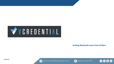

#### **Inviting Bluetooth users from ACTpro**









 $\bullet$  (in)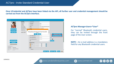Once VCredential and ACTpro have been linked via the API, all further user and credential management should be **carried out from the ACTpro interface.**



#### **ACTpro Manage>Users>\*User\***

For "normal" Bluetooth credential users, they can be invited through the front page of the User screen.

**NOTE –** An e-mail address is a mandatory field for any Bluetooth credential users.





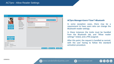| <b>Ruby Rose</b>                              |                                                    |                                 |                     |                       |             |
|-----------------------------------------------|----------------------------------------------------|---------------------------------|---------------------|-----------------------|-------------|
|                                               | General<br><b>Bluetooth</b>                        | Invite<br>Allow reader settings |                     |                       |             |
|                                               | <b>Details</b>                                     | PIN:                            | 9999                | Send Bluetooth invite |             |
|                                               | Options                                            |                                 |                     |                       |             |
|                                               | Door Plans                                         | <b>Active Credential</b>        |                     |                       |             |
|                                               | <b>Extra Rights</b>                                | <b>Card Number</b>              |                     |                       |             |
| <b>Upload Photo</b>                           | <b>Recent Events</b>                               | Valid from                      |                     |                       |             |
| <b>Save Photo</b>                             | <b>View Doors</b>                                  |                                 |                     |                       |             |
| <b>Clear Photo</b>                            | <b>T&amp;A</b> Integration<br><b>Audit Details</b> |                                 | Display QR Code     |                       |             |
| <b>Upload Signature</b><br><b>IntegriSign</b> |                                                    |                                 |                     |                       |             |
| Delete Signature                              |                                                    |                                 |                     |                       |             |
| User Number: 4                                |                                                    |                                 |                     |                       |             |
| User Name:<br><b>Ruby Rose</b>                |                                                    |                                 |                     |                       |             |
| User Group:<br>Full Access Group              |                                                    |                                 |                     |                       |             |
| Evnirod<br>Ctotuer                            |                                                    |                                 |                     |                       |             |
|                                               |                                                    |                                 | <b>Manual Login</b> | <b>Manual Logout</b>  | Delete Save |

#### **ACTpro Manage>Users>\*User\*>Bluetooth**

In some exception cases, there may be a requirement to have users who can change the Bluetooth reader settings.

In these instances the invite must be handled from the Bluetooth tab, and "Allow reader settings" ticked, and a PIN assigned.

After this point, the request is handled as normal, with the user having to follow the standard activation procedure.



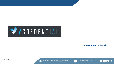

**Transferring a credential**





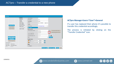

#### **ACTpro Manage>Users>\*User\*>General**

If a user has replaced their phone it's possible to transfer this credential accordingly.

The process is initiated by clicking on the "Transfer Credential" icon.



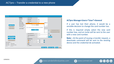

#### **ACTpro Manage>Users>\*User\*>General**

If a user has lost their phone, it would be a sensible decision to change the card number too.

If this is required simply select the new card number box, and an invite will be sent to the user with a new card number.

**Note –** At the point of issuing a transfer request, a deactivate command will be sent to the existing device and the credential de-activated.